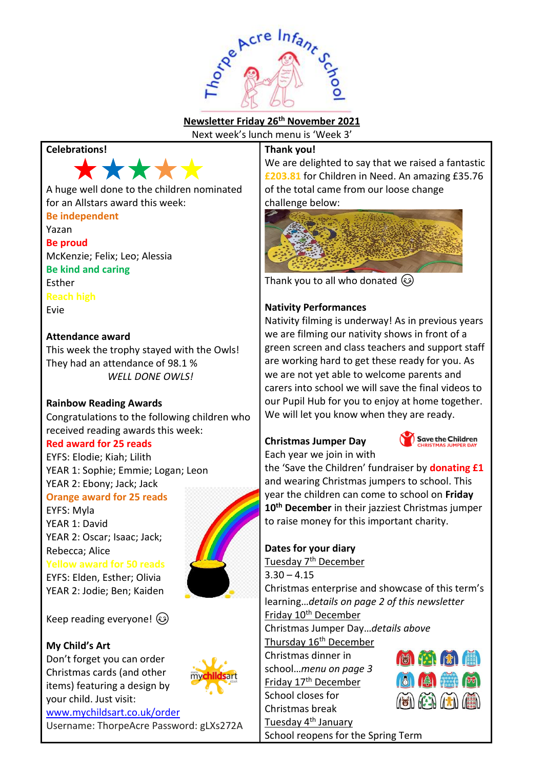

## **Newsletter Friday 26th November 2021**

Next week's lunch menu is 'Week 3'

**Thank you!**

## **Celebrations!**



### A huge well done to the children nominated for an Allstars award this week:

**Be independent**

Yazan

**Be proud** McKenzie; Felix; Leo; Alessia **Be kind and caring** Esther **Reach high** Evie

## **Attendance award**

This week the trophy stayed with the Owls! They had an attendance of 98.1 % *WELL DONE OWLS!*

## **Rainbow Reading Awards**

Congratulations to the following children who received reading awards this week:

## **Red award for 25 reads**

EYFS: Elodie; Kiah; Lilith YEAR 1: Sophie; Emmie; Logan; Leon YEAR 2: Ebony; Jack; Jack

**Orange award for 25 reads**

EYFS: Myla YEAR 1: David YEAR 2: Oscar; Isaac; Jack; Rebecca; Alice

**Yellow award for 50 reads**

EYFS: Elden, Esther; Olivia YEAR 2: Jodie; Ben; Kaiden

Keep reading everyone!  $\circled{e}$ 

## **My Child's Art**

Don't forget you can order Christmas cards (and other items) featuring a design by your child. Just visit:



## **Dates for your diary** Tuesday 7<sup>th</sup> December

Christmas enterprise and showcase of this term's learning…*details on page 2 of this newsletter*

Christmas Jumper Day…*details above* Thursday 16<sup>th</sup> December

School reopens for the Spring Term

Christmas dinner in

school…*menu on page 3* Friday 17th December

School closes for Christmas break Tuesday 4th January  $\left(\mathbb{R}\right)$   $\left(\mathbb{R}\right)$   $\left(\mathbb{R}\right)$ 

**£203.81** for Children in Need. An amazing £35.76 of the total came from our loose change challenge below:

We are delighted to say that we raised a fantastic



Thank you to all who donated  $\circledS$ 

## **Nativity Performances**

Nativity filming is underway! As in previous years we are filming our nativity shows in front of a green screen and class teachers and support staff are working hard to get these ready for you. As we are not yet able to welcome parents and carers into school we will save the final videos to our Pupil Hub for you to enjoy at home together. We will let you know when they are ready.

## **Christmas Jumper Day**



Each year we join in with the 'Save the Children' fundraiser by **donating £1** and wearing Christmas jumpers to school. This year the children can come to school on **Friday 10th December** in their jazziest Christmas jumper

to raise money for this important charity.

# $3.30 - 4.15$

Friday 10<sup>th</sup> December

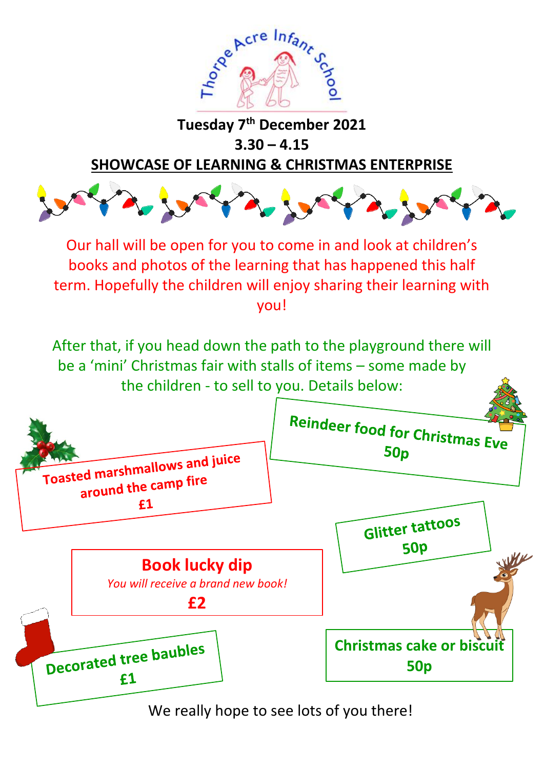

## **Tuesday 7th December 2021 3.30 – 4.15**

**SHOWCASE OF LEARNING & CHRISTMAS ENTERPRISE**



Our hall will be open for you to come in and look at children's books and photos of the learning that has happened this half term. Hopefully the children will enjoy sharing their learning with you!

After that, if you head down the path to the playground there will be a 'mini' Christmas fair with stalls of items – some made by the children - to sell to you. Details below:



We really hope to see lots of you there!